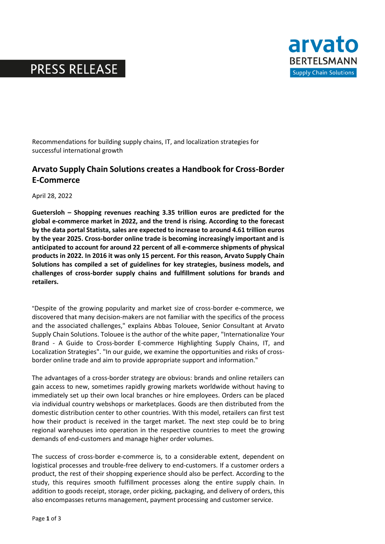# **PRESS RELEASE**



Recommendations for building supply chains, IT, and localization strategies for successful international growth

### **Arvato Supply Chain Solutions creates a Handbook for Cross-Border E-Commerce**

April 28, 2022

**Guetersloh – Shopping revenues reaching 3.35 trillion euros are predicted for the global e-commerce market in 2022, and the trend is rising. According to the forecast by the data portal Statista, sales are expected to increase to around 4.61 trillion euros by the year 2025. Cross-border online trade is becoming increasingly important and is anticipated to account for around 22 percent of all e-commerce shipments of physical products in 2022. In 2016 it was only 15 percent. For this reason, Arvato Supply Chain Solutions has compiled a set of guidelines for key strategies, business models, and challenges of cross-border supply chains and fulfillment solutions for brands and retailers.**

"Despite of the growing popularity and market size of cross-border e-commerce, we discovered that many decision-makers are not familiar with the specifics of the process and the associated challenges," explains Abbas Tolouee, Senior Consultant at Arvato Supply Chain Solutions. Tolouee is the author of the white paper, "Internationalize Your Brand - A Guide to Cross-border E-commerce Highlighting Supply Chains, IT, and Localization Strategies". "In our guide, we examine the opportunities and risks of crossborder online trade and aim to provide appropriate support and information."

The advantages of a cross-border strategy are obvious: brands and online retailers can gain access to new, sometimes rapidly growing markets worldwide without having to immediately set up their own local branches or hire employees. Orders can be placed via individual country webshops or marketplaces. Goods are then distributed from the domestic distribution center to other countries. With this model, retailers can first test how their product is received in the target market. The next step could be to bring regional warehouses into operation in the respective countries to meet the growing demands of end-customers and manage higher order volumes.

The success of cross-border e-commerce is, to a considerable extent, dependent on logistical processes and trouble-free delivery to end-customers. If a customer orders a product, the rest of their shopping experience should also be perfect. According to the study, this requires smooth fulfillment processes along the entire supply chain. In addition to goods receipt, storage, order picking, packaging, and delivery of orders, this also encompasses returns management, payment processing and customer service.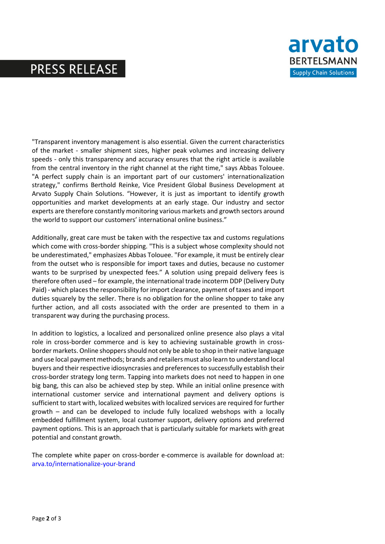# **PRESS RELEASE**



"Transparent inventory management is also essential. Given the current characteristics of the market - smaller shipment sizes, higher peak volumes and increasing delivery speeds - only this transparency and accuracy ensures that the right article is available from the central inventory in the right channel at the right time," says Abbas Tolouee. "A perfect supply chain is an important part of our customers' internationalization strategy," confirms Berthold Reinke, Vice President Global Business Development at Arvato Supply Chain Solutions. "However, it is just as important to identify growth opportunities and market developments at an early stage. Our industry and sector experts are therefore constantly monitoring various markets and growth sectors around the world to support our customers' international online business."

Additionally, great care must be taken with the respective tax and customs regulations which come with cross-border shipping. "This is a subject whose complexity should not be underestimated," emphasizes Abbas Tolouee. "For example, it must be entirely clear from the outset who is responsible for import taxes and duties, because no customer wants to be surprised by unexpected fees." A solution using prepaid delivery fees is therefore often used – for example, the international trade incoterm DDP (Delivery Duty Paid) - which places the responsibility for import clearance, payment of taxes and import duties squarely by the seller. There is no obligation for the online shopper to take any further action, and all costs associated with the order are presented to them in a transparent way during the purchasing process.

In addition to logistics, a localized and personalized online presence also plays a vital role in cross-border commerce and is key to achieving sustainable growth in crossborder markets. Online shoppers should not only be able to shop in their native language and use local payment methods; brands and retailers must also learn to understand local buyers and their respective idiosyncrasies and preferences to successfully establish their cross-border strategy long term. Tapping into markets does not need to happen in one big bang, this can also be achieved step by step. While an initial online presence with international customer service and international payment and delivery options is sufficient to start with, localized websites with localized services are required for further growth – and can be developed to include fully localized webshops with a locally embedded fulfillment system, local customer support, delivery options and preferred payment options. This is an approach that is particularly suitable for markets with great potential and constant growth.

The complete white paper on cross-border e-commerce is available for download at: [arva.to/internationalize-your-brand](https://arva.to/internationalize-your-brand)